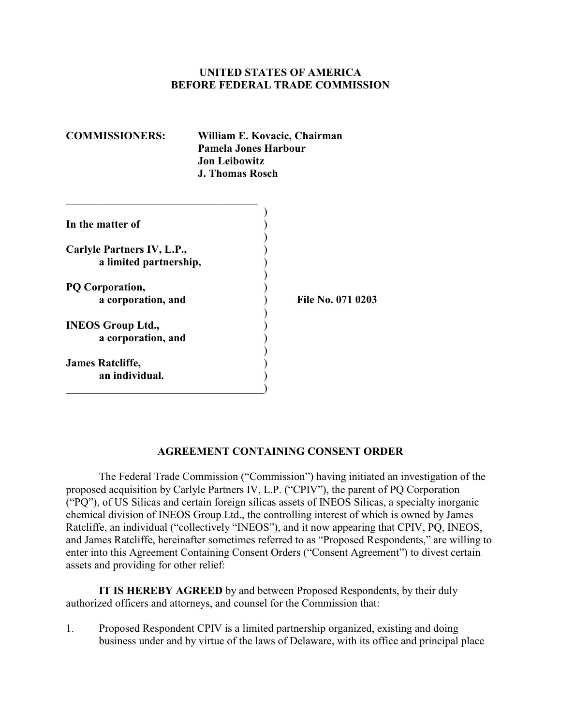### **UNITED STATES OF AMERICA BEFORE FEDERAL TRADE COMMISSION**

| <b>COMMISSIONERS:</b>      | William E. Kovacic, Chairman<br>Pamela Jones Harbour<br><b>Jon Leibowitz</b><br><b>J. Thomas Rosch</b> |                   |
|----------------------------|--------------------------------------------------------------------------------------------------------|-------------------|
| In the matter of           |                                                                                                        |                   |
|                            |                                                                                                        |                   |
| Carlyle Partners IV, L.P., |                                                                                                        |                   |
| a limited partnership,     |                                                                                                        |                   |
|                            |                                                                                                        |                   |
| PQ Corporation,            |                                                                                                        |                   |
| a corporation, and         |                                                                                                        | File No. 071 0203 |
| <b>INEOS Group Ltd.,</b>   |                                                                                                        |                   |
| a corporation, and         |                                                                                                        |                   |
|                            |                                                                                                        |                   |
| <b>James Ratcliffe,</b>    |                                                                                                        |                   |
| an individual.             |                                                                                                        |                   |

)

#### **AGREEMENT CONTAINING CONSENT ORDER**

The Federal Trade Commission ("Commission") having initiated an investigation of the proposed acquisition by Carlyle Partners IV, L.P. ("CPIV"), the parent of PQ Corporation ("PQ"), of US Silicas and certain foreign silicas assets of INEOS Silicas, a specialty inorganic chemical division of INEOS Group Ltd., the controlling interest of which is owned by James Ratcliffe, an individual ("collectively "INEOS"), and it now appearing that CPIV, PQ, INEOS, and James Ratcliffe, hereinafter sometimes referred to as "Proposed Respondents," are willing to enter into this Agreement Containing Consent Orders ("Consent Agreement") to divest certain assets and providing for other relief:

**IT IS HEREBY AGREED** by and between Proposed Respondents, by their duly authorized officers and attorneys, and counsel for the Commission that:

1. Proposed Respondent CPIV is a limited partnership organized, existing and doing business under and by virtue of the laws of Delaware, with its office and principal place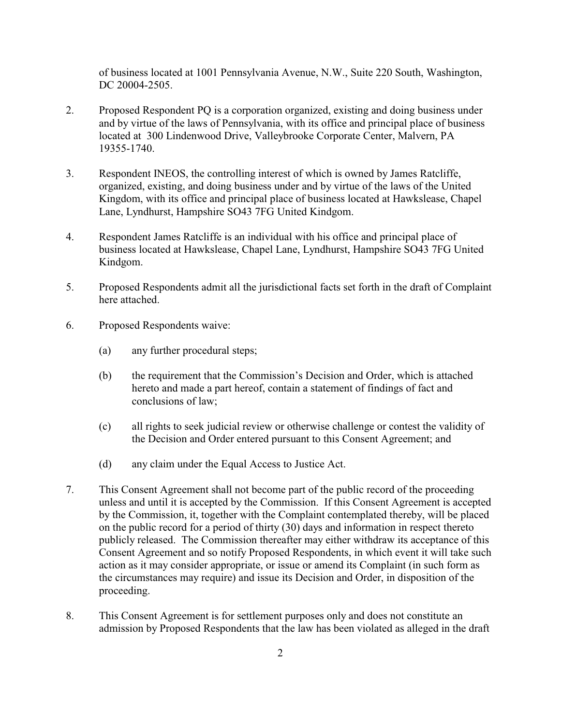of business located at 1001 Pennsylvania Avenue, N.W., Suite 220 South, Washington, DC 20004-2505.

- 2. Proposed Respondent PQ is a corporation organized, existing and doing business under and by virtue of the laws of Pennsylvania, with its office and principal place of business located at 300 Lindenwood Drive, Valleybrooke Corporate Center, Malvern, PA 19355-1740.
- 3. Respondent INEOS, the controlling interest of which is owned by James Ratcliffe, organized, existing, and doing business under and by virtue of the laws of the United Kingdom, with its office and principal place of business located at Hawkslease, Chapel Lane, Lyndhurst, Hampshire SO43 7FG United Kindgom.
- 4. Respondent James Ratcliffe is an individual with his office and principal place of business located at Hawkslease, Chapel Lane, Lyndhurst, Hampshire SO43 7FG United Kindgom.
- 5. Proposed Respondents admit all the jurisdictional facts set forth in the draft of Complaint here attached.
- 6. Proposed Respondents waive:
	- (a) any further procedural steps;
	- (b) the requirement that the Commission's Decision and Order, which is attached hereto and made a part hereof, contain a statement of findings of fact and conclusions of law;
	- (c) all rights to seek judicial review or otherwise challenge or contest the validity of the Decision and Order entered pursuant to this Consent Agreement; and
	- (d) any claim under the Equal Access to Justice Act.
- 7. This Consent Agreement shall not become part of the public record of the proceeding unless and until it is accepted by the Commission. If this Consent Agreement is accepted by the Commission, it, together with the Complaint contemplated thereby, will be placed on the public record for a period of thirty (30) days and information in respect thereto publicly released. The Commission thereafter may either withdraw its acceptance of this Consent Agreement and so notify Proposed Respondents, in which event it will take such action as it may consider appropriate, or issue or amend its Complaint (in such form as the circumstances may require) and issue its Decision and Order, in disposition of the proceeding.
- 8. This Consent Agreement is for settlement purposes only and does not constitute an admission by Proposed Respondents that the law has been violated as alleged in the draft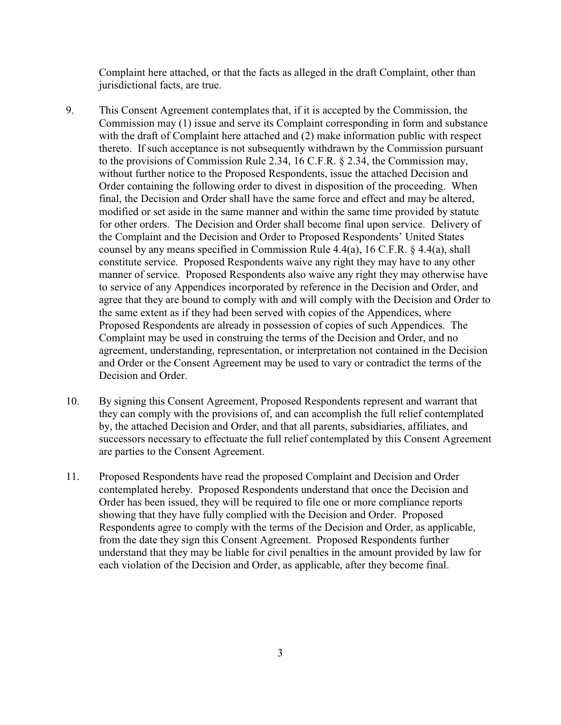Complaint here attached, or that the facts as alleged in the draft Complaint, other than jurisdictional facts, are true.

- 9. This Consent Agreement contemplates that, if it is accepted by the Commission, the Commission may (1) issue and serve its Complaint corresponding in form and substance with the draft of Complaint here attached and (2) make information public with respect thereto. If such acceptance is not subsequently withdrawn by the Commission pursuant to the provisions of Commission Rule 2.34, 16 C.F.R. § 2.34, the Commission may, without further notice to the Proposed Respondents, issue the attached Decision and Order containing the following order to divest in disposition of the proceeding. When final, the Decision and Order shall have the same force and effect and may be altered, modified or set aside in the same manner and within the same time provided by statute for other orders. The Decision and Order shall become final upon service. Delivery of the Complaint and the Decision and Order to Proposed Respondents' United States counsel by any means specified in Commission Rule 4.4(a), 16 C.F.R. § 4.4(a), shall constitute service. Proposed Respondents waive any right they may have to any other manner of service. Proposed Respondents also waive any right they may otherwise have to service of any Appendices incorporated by reference in the Decision and Order, and agree that they are bound to comply with and will comply with the Decision and Order to the same extent as if they had been served with copies of the Appendices, where Proposed Respondents are already in possession of copies of such Appendices. The Complaint may be used in construing the terms of the Decision and Order, and no agreement, understanding, representation, or interpretation not contained in the Decision and Order or the Consent Agreement may be used to vary or contradict the terms of the Decision and Order.
- 10. By signing this Consent Agreement, Proposed Respondents represent and warrant that they can comply with the provisions of, and can accomplish the full relief contemplated by, the attached Decision and Order, and that all parents, subsidiaries, affiliates, and successors necessary to effectuate the full relief contemplated by this Consent Agreement are parties to the Consent Agreement.
- 11. Proposed Respondents have read the proposed Complaint and Decision and Order contemplated hereby. Proposed Respondents understand that once the Decision and Order has been issued, they will be required to file one or more compliance reports showing that they have fully complied with the Decision and Order. Proposed Respondents agree to comply with the terms of the Decision and Order, as applicable, from the date they sign this Consent Agreement. Proposed Respondents further understand that they may be liable for civil penalties in the amount provided by law for each violation of the Decision and Order, as applicable, after they become final.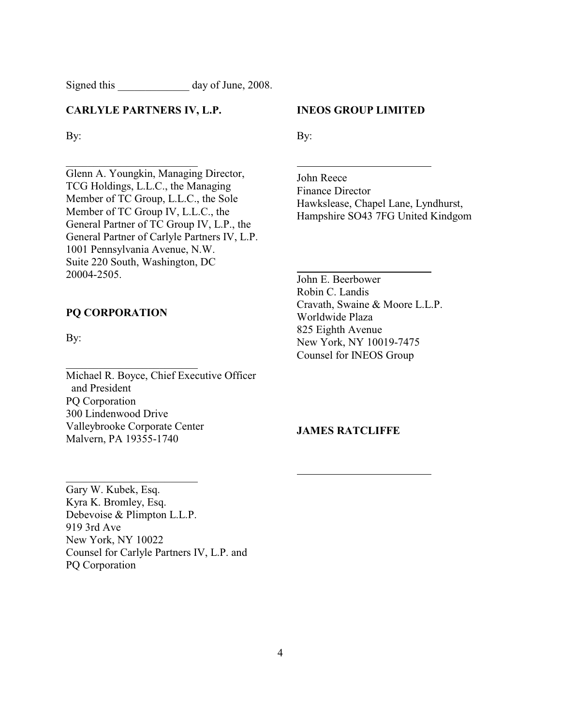Signed this day of June, 2008.

#### **CARLYLE PARTNERS IV, L.P.**

By:

Glenn A. Youngkin, Managing Director, TCG Holdings, L.L.C., the Managing Member of TC Group, L.L.C., the Sole Member of TC Group IV, L.L.C., the General Partner of TC Group IV, L.P., the General Partner of Carlyle Partners IV, L.P. 1001 Pennsylvania Avenue, N.W. Suite 220 South, Washington, DC 20004-2505.

### **PQ CORPORATION**

\_\_\_\_\_\_\_\_\_\_\_\_\_\_\_\_\_\_\_\_\_\_\_\_

By:

Michael R. Boyce, Chief Executive Officer and President PQ Corporation 300 Lindenwood Drive Valleybrooke Corporate Center Malvern, PA 19355-1740

## **INEOS GROUP LIMITED**

By:

 $\overline{a}$ 

 $\overline{a}$ 

 $\overline{a}$ 

John Reece Finance Director Hawkslease, Chapel Lane, Lyndhurst, Hampshire SO43 7FG United Kindgom

John E. Beerbower Robin C. Landis Cravath, Swaine & Moore L.L.P. Worldwide Plaza 825 Eighth Avenue New York, NY 10019-7475 Counsel for INEOS Group

#### **JAMES RATCLIFFE**

Gary W. Kubek, Esq. Kyra K. Bromley, Esq. Debevoise & Plimpton L.L.P. 919 3rd Ave New York, NY 10022 Counsel for Carlyle Partners IV, L.P. and PQ Corporation